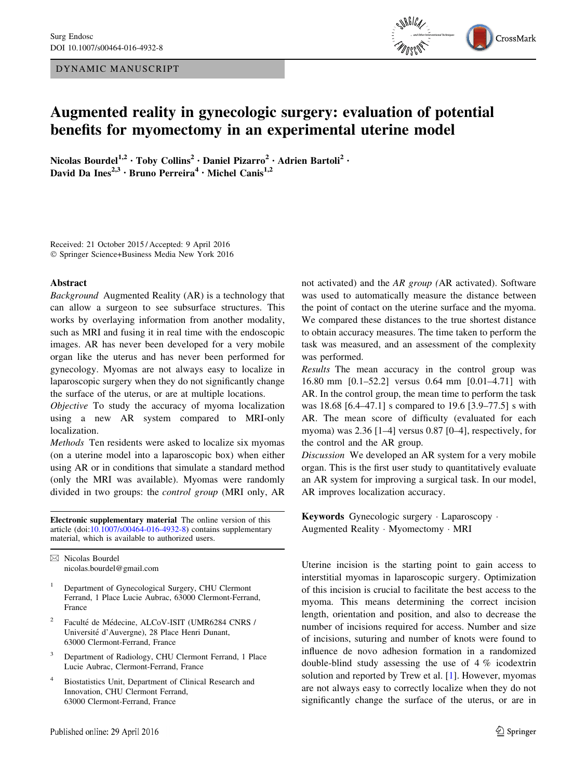DYNAMIC MANUSCRIPT



# Augmented reality in gynecologic surgery: evaluation of potential benefits for myomectomy in an experimental uterine model

Nicolas Bourdel<sup>1,2</sup> · Toby Collins<sup>2</sup> · Daniel Pizarro<sup>2</sup> · Adrien Bartoli<sup>2</sup> · David Da Ines<sup>2,3</sup> • Bruno Perreira<sup>4</sup> • Michel Canis<sup>1,2</sup>

Received: 21 October 2015 / Accepted: 9 April 2016 - Springer Science+Business Media New York 2016

#### Abstract

Background Augmented Reality (AR) is a technology that can allow a surgeon to see subsurface structures. This works by overlaying information from another modality, such as MRI and fusing it in real time with the endoscopic images. AR has never been developed for a very mobile organ like the uterus and has never been performed for gynecology. Myomas are not always easy to localize in laparoscopic surgery when they do not significantly change the surface of the uterus, or are at multiple locations.

Objective To study the accuracy of myoma localization using a new AR system compared to MRI-only localization.

Methods Ten residents were asked to localize six myomas (on a uterine model into a laparoscopic box) when either using AR or in conditions that simulate a standard method (only the MRI was available). Myomas were randomly divided in two groups: the control group (MRI only, AR

Electronic supplementary material The online version of this article (doi:[10.1007/s00464-016-4932-8\)](http://dx.doi.org/10.1007/s00464-016-4932-8) contains supplementary material, which is available to authorized users.

& Nicolas Bourdel nicolas.bourdel@gmail.com

- <sup>1</sup> Department of Gynecological Surgery, CHU Clermont Ferrand, 1 Place Lucie Aubrac, 63000 Clermont-Ferrand, France
- Faculté de Médecine, ALCoV-ISIT (UMR6284 CNRS / Université d'Auvergne), 28 Place Henri Dunant, 63000 Clermont-Ferrand, France
- Department of Radiology, CHU Clermont Ferrand, 1 Place Lucie Aubrac, Clermont-Ferrand, France
- <sup>4</sup> Biostatistics Unit, Department of Clinical Research and Innovation, CHU Clermont Ferrand, 63000 Clermont-Ferrand, France

not activated) and the AR group (AR activated). Software was used to automatically measure the distance between the point of contact on the uterine surface and the myoma. We compared these distances to the true shortest distance to obtain accuracy measures. The time taken to perform the task was measured, and an assessment of the complexity was performed.

Results The mean accuracy in the control group was 16.80 mm [0.1–52.2] versus 0.64 mm [0.01–4.71] with AR. In the control group, the mean time to perform the task was 18.68 [6.4–47.1] s compared to 19.6 [3.9–77.5] s with AR. The mean score of difficulty (evaluated for each myoma) was 2.36 [1–4] versus 0.87 [0–4], respectively, for the control and the AR group.

Discussion We developed an AR system for a very mobile organ. This is the first user study to quantitatively evaluate an AR system for improving a surgical task. In our model, AR improves localization accuracy.

Keywords Gynecologic surgery - Laparoscopy - Augmented Reality - Myomectomy - MRI

Uterine incision is the starting point to gain access to interstitial myomas in laparoscopic surgery. Optimization of this incision is crucial to facilitate the best access to the myoma. This means determining the correct incision length, orientation and position, and also to decrease the number of incisions required for access. Number and size of incisions, suturing and number of knots were found to influence de novo adhesion formation in a randomized double-blind study assessing the use of 4 % icodextrin solution and reported by Trew et al. [\[1](#page-4-0)]. However, myomas are not always easy to correctly localize when they do not significantly change the surface of the uterus, or are in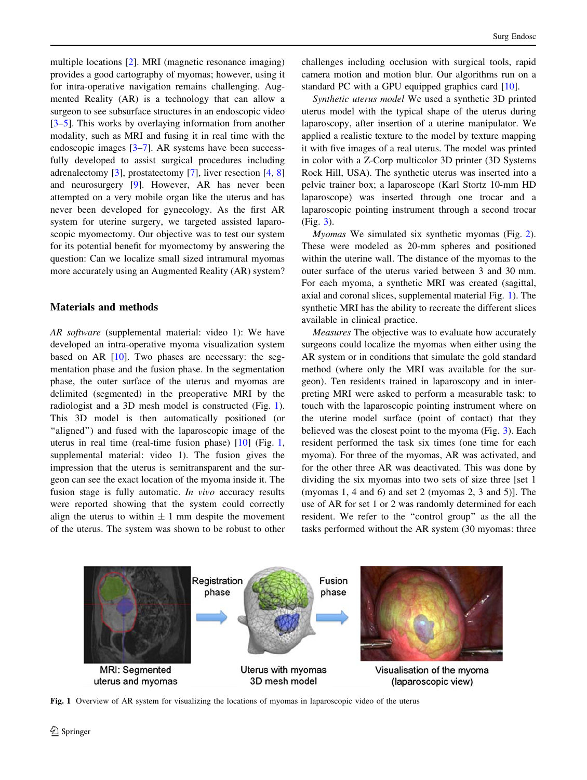multiple locations [\[2](#page-4-0)]. MRI (magnetic resonance imaging) provides a good cartography of myomas; however, using it for intra-operative navigation remains challenging. Augmented Reality (AR) is a technology that can allow a surgeon to see subsurface structures in an endoscopic video [\[3–5](#page-4-0)]. This works by overlaying information from another modality, such as MRI and fusing it in real time with the endoscopic images [[3–7\]](#page-4-0). AR systems have been successfully developed to assist surgical procedures including adrenalectomy [\[3](#page-4-0)], prostatectomy [\[7](#page-4-0)], liver resection [\[4](#page-4-0), [8\]](#page-4-0) and neurosurgery [[9\]](#page-5-0). However, AR has never been attempted on a very mobile organ like the uterus and has never been developed for gynecology. As the first AR system for uterine surgery, we targeted assisted laparoscopic myomectomy. Our objective was to test our system for its potential benefit for myomectomy by answering the question: Can we localize small sized intramural myomas more accurately using an Augmented Reality (AR) system?

## Materials and methods

AR software (supplemental material: video 1): We have developed an intra-operative myoma visualization system based on AR [[10\]](#page-5-0). Two phases are necessary: the segmentation phase and the fusion phase. In the segmentation phase, the outer surface of the uterus and myomas are delimited (segmented) in the preoperative MRI by the radiologist and a 3D mesh model is constructed (Fig. 1). This 3D model is then automatically positioned (or "aligned") and fused with the laparoscopic image of the uterus in real time (real-time fusion phase) [\[10](#page-5-0)] (Fig. 1, supplemental material: video 1). The fusion gives the impression that the uterus is semitransparent and the surgeon can see the exact location of the myoma inside it. The fusion stage is fully automatic. In vivo accuracy results were reported showing that the system could correctly align the uterus to within  $\pm$  1 mm despite the movement of the uterus. The system was shown to be robust to other challenges including occlusion with surgical tools, rapid camera motion and motion blur. Our algorithms run on a standard PC with a GPU equipped graphics card [\[10](#page-5-0)].

Synthetic uterus model We used a synthetic 3D printed uterus model with the typical shape of the uterus during laparoscopy, after insertion of a uterine manipulator. We applied a realistic texture to the model by texture mapping it with five images of a real uterus. The model was printed in color with a Z-Corp multicolor 3D printer (3D Systems Rock Hill, USA). The synthetic uterus was inserted into a pelvic trainer box; a laparoscope (Karl Stortz 10-mm HD laparoscope) was inserted through one trocar and a laparoscopic pointing instrument through a second trocar (Fig. [3\)](#page-2-0).

Myomas We simulated six synthetic myomas (Fig. [2](#page-2-0)). These were modeled as 20-mm spheres and positioned within the uterine wall. The distance of the myomas to the outer surface of the uterus varied between 3 and 30 mm. For each myoma, a synthetic MRI was created (sagittal, axial and coronal slices, supplemental material Fig. 1). The synthetic MRI has the ability to recreate the different slices available in clinical practice.

Measures The objective was to evaluate how accurately surgeons could localize the myomas when either using the AR system or in conditions that simulate the gold standard method (where only the MRI was available for the surgeon). Ten residents trained in laparoscopy and in interpreting MRI were asked to perform a measurable task: to touch with the laparoscopic pointing instrument where on the uterine model surface (point of contact) that they believed was the closest point to the myoma (Fig. [3\)](#page-2-0). Each resident performed the task six times (one time for each myoma). For three of the myomas, AR was activated, and for the other three AR was deactivated. This was done by dividing the six myomas into two sets of size three [set 1 (myomas 1, 4 and 6) and set 2 (myomas 2, 3 and 5)]. The use of AR for set 1 or 2 was randomly determined for each resident. We refer to the ''control group'' as the all the tasks performed without the AR system (30 myomas: three



Fig. 1 Overview of AR system for visualizing the locations of myomas in laparoscopic video of the uterus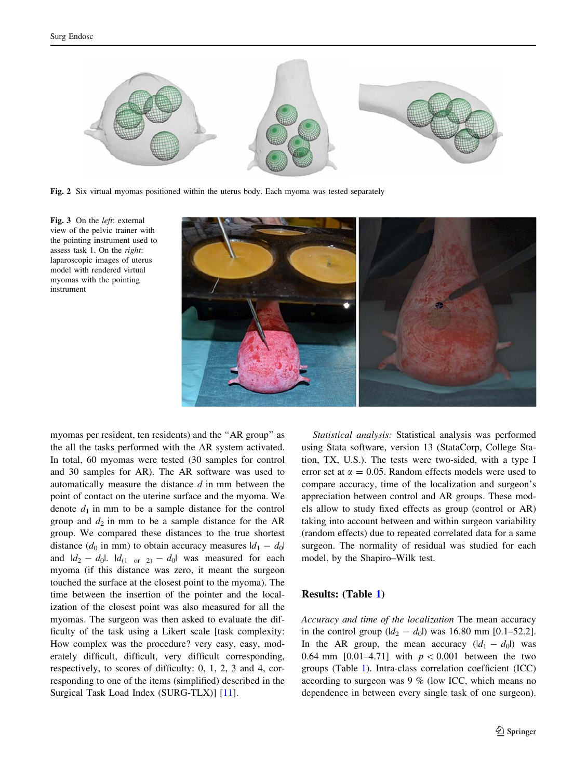<span id="page-2-0"></span>

Fig. 2 Six virtual myomas positioned within the uterus body. Each myoma was tested separately

Fig. 3 On the *left*: external view of the pelvic trainer with the pointing instrument used to assess task 1. On the right: laparoscopic images of uterus model with rendered virtual myomas with the pointing instrument



myomas per resident, ten residents) and the ''AR group'' as the all the tasks performed with the AR system activated. In total, 60 myomas were tested (30 samples for control and 30 samples for AR). The AR software was used to automatically measure the distance  $d$  in mm between the point of contact on the uterine surface and the myoma. We denote  $d_1$  in mm to be a sample distance for the control group and  $d_2$  in mm to be a sample distance for the AR group. We compared these distances to the true shortest distance  $(d_0$  in mm) to obtain accuracy measures  $|d_1 - d_0|$ and  $|d_2 - d_0|$ .  $|d_{(1 \text{ or } 2)} - d_0|$  was measured for each myoma (if this distance was zero, it meant the surgeon touched the surface at the closest point to the myoma). The time between the insertion of the pointer and the localization of the closest point was also measured for all the myomas. The surgeon was then asked to evaluate the difficulty of the task using a Likert scale [task complexity: How complex was the procedure? very easy, easy, moderately difficult, difficult, very difficult corresponding, respectively, to scores of difficulty: 0, 1, 2, 3 and 4, corresponding to one of the items (simplified) described in the Surgical Task Load Index (SURG-TLX)] [\[11](#page-5-0)].

Statistical analysis: Statistical analysis was performed using Stata software, version 13 (StataCorp, College Station, TX, U.S.). The tests were two-sided, with a type I error set at  $\alpha = 0.05$ . Random effects models were used to compare accuracy, time of the localization and surgeon's appreciation between control and AR groups. These models allow to study fixed effects as group (control or AR) taking into account between and within surgeon variability (random effects) due to repeated correlated data for a same surgeon. The normality of residual was studied for each model, by the Shapiro–Wilk test.

### Results: (Table [1\)](#page-3-0)

Accuracy and time of the localization The mean accuracy in the control group  $(|d_2 - d_0|)$  was 16.80 mm [0.1–52.2]. In the AR group, the mean accuracy  $(|d_1 - d_0|)$  was 0.64 mm [0.01–4.71] with  $p < 0.001$  between the two groups (Table [1\)](#page-3-0). Intra-class correlation coefficient (ICC) according to surgeon was 9 % (low ICC, which means no dependence in between every single task of one surgeon).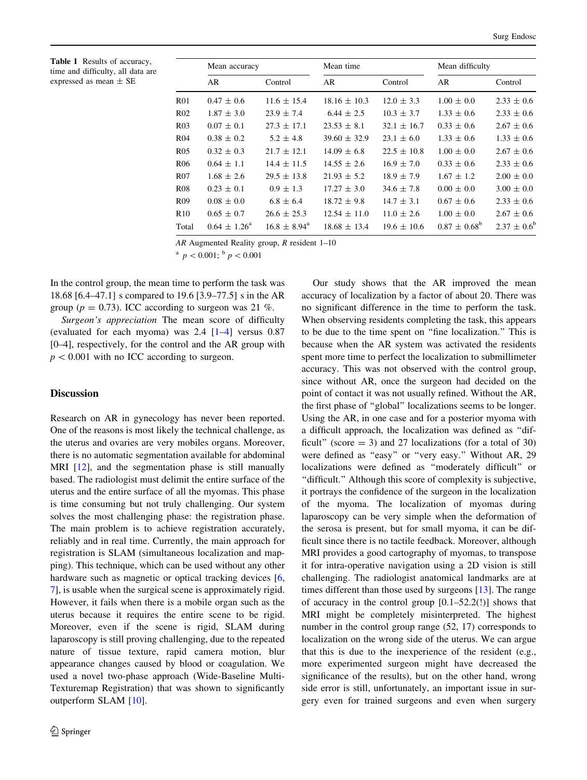<span id="page-3-0"></span>Table 1 Results of accuracy, time and difficulty, all data are expressed as mean ± SE

|       | Mean accuracy           |                         | Mean time        |                 | Mean difficulty         |                  |
|-------|-------------------------|-------------------------|------------------|-----------------|-------------------------|------------------|
|       | AR                      | Control                 | AR               | Control         | AR.                     | Control          |
| R01   | $0.47 \pm 0.6$          | $11.6 \pm 15.4$         | $18.16 \pm 10.3$ | $12.0 \pm 3.3$  | $1.00 \pm 0.0$          | $2.33 \pm 0.6$   |
| R02   | $1.87 \pm 3.0$          | $23.9 \pm 7.4$          | $6.44 \pm 2.5$   | $10.3 \pm 3.7$  | $1.33 \pm 0.6$          | $2.33 \pm 0.6$   |
| R03   | $0.07 \pm 0.1$          | $27.3 \pm 17.1$         | $23.53 \pm 8.1$  | $32.1 \pm 16.7$ | $0.33 \pm 0.6$          | $2.67 \pm 0.6$   |
| R04   | $0.38 \pm 0.2$          | $5.2 \pm 4.8$           | $39.60 \pm 32.9$ | $23.1 \pm 6.0$  | $1.33 \pm 0.6$          | $1.33 \pm 0.6$   |
| R05   | $0.32 \pm 0.3$          | $21.7 \pm 12.1$         | $14.09 \pm 6.8$  | $22.5 \pm 10.8$ | $1.00 \pm 0.0$          | $2.67 \pm 0.6$   |
| R06   | $0.64 \pm 1.1$          | $14.4 \pm 11.5$         | $14.55 \pm 2.6$  | $16.9 \pm 7.0$  | $0.33 \pm 0.6$          | $2.33 \pm 0.6$   |
| R07   | $1.68 \pm 2.6$          | $29.5 \pm 13.8$         | $21.93 \pm 5.2$  | $18.9 \pm 7.9$  | $1.67 \pm 1.2$          | $2.00 \pm 0.0$   |
| R08   | $0.23 \pm 0.1$          | $0.9 \pm 1.3$           | $17.27 \pm 3.0$  | $34.6 \pm 7.8$  | $0.00 \pm 0.0$          | $3.00 \pm 0.0$   |
| R09   | $0.08 \pm 0.0$          | $6.8 \pm 6.4$           | $18.72 \pm 9.8$  | $14.7 \pm 3.1$  | $0.67 \pm 0.6$          | $2.33 \pm 0.6$   |
| R10   | $0.65 \pm 0.7$          | $26.6 \pm 25.3$         | $12.54 \pm 11.0$ | $11.0 \pm 2.6$  | $1.00 \pm 0.0$          | $2.67 \pm 0.6$   |
| Total | $0.64 \pm 1.26^{\circ}$ | $16.8 \pm 8.94^{\circ}$ | $18.68 \pm 13.4$ | $19.6 \pm 10.6$ | $0.87 \pm 0.68^{\rm b}$ | $2.37 \pm 0.6^b$ |

AR Augmented Reality group, R resident 1–10

<sup>a</sup>  $p < 0.001$ ; <sup>b</sup>  $p < 0.001$ 

In the control group, the mean time to perform the task was 18.68 [6.4–47.1] s compared to 19.6 [3.9–77.5] s in the AR group ( $p = 0.73$ ). ICC according to surgeon was 21 %.

Surgeon's appreciation The mean score of difficulty (evaluated for each myoma) was  $2.4$  [[1–4\]](#page-4-0) versus 0.87 [0–4], respectively, for the control and the AR group with  $p < 0.001$  with no ICC according to surgeon.

# **Discussion**

Research on AR in gynecology has never been reported. One of the reasons is most likely the technical challenge, as the uterus and ovaries are very mobiles organs. Moreover, there is no automatic segmentation available for abdominal MRI [[12\]](#page-5-0), and the segmentation phase is still manually based. The radiologist must delimit the entire surface of the uterus and the entire surface of all the myomas. This phase is time consuming but not truly challenging. Our system solves the most challenging phase: the registration phase. The main problem is to achieve registration accurately, reliably and in real time. Currently, the main approach for registration is SLAM (simultaneous localization and mapping). This technique, which can be used without any other hardware such as magnetic or optical tracking devices [[6,](#page-4-0) [7](#page-4-0)], is usable when the surgical scene is approximately rigid. However, it fails when there is a mobile organ such as the uterus because it requires the entire scene to be rigid. Moreover, even if the scene is rigid, SLAM during laparoscopy is still proving challenging, due to the repeated nature of tissue texture, rapid camera motion, blur appearance changes caused by blood or coagulation. We used a novel two-phase approach (Wide-Baseline Multi-Texturemap Registration) that was shown to significantly outperform SLAM [[10\]](#page-5-0).

Our study shows that the AR improved the mean accuracy of localization by a factor of about 20. There was no significant difference in the time to perform the task. When observing residents completing the task, this appears to be due to the time spent on ''fine localization.'' This is because when the AR system was activated the residents spent more time to perfect the localization to submillimeter accuracy. This was not observed with the control group, since without AR, once the surgeon had decided on the point of contact it was not usually refined. Without the AR, the first phase of ''global'' localizations seems to be longer. Using the AR, in one case and for a posterior myoma with a difficult approach, the localization was defined as ''difficult" (score  $=$  3) and 27 localizations (for a total of 30) were defined as "easy" or "very easy." Without AR, 29 localizations were defined as ''moderately difficult'' or ''difficult.'' Although this score of complexity is subjective, it portrays the confidence of the surgeon in the localization of the myoma. The localization of myomas during laparoscopy can be very simple when the deformation of the serosa is present, but for small myoma, it can be difficult since there is no tactile feedback. Moreover, although MRI provides a good cartography of myomas, to transpose it for intra-operative navigation using a 2D vision is still challenging. The radiologist anatomical landmarks are at times different than those used by surgeons [[13](#page-5-0)]. The range of accuracy in the control group  $[0.1–52.2(1)]$  shows that MRI might be completely misinterpreted. The highest number in the control group range (52, 17) corresponds to localization on the wrong side of the uterus. We can argue that this is due to the inexperience of the resident (e.g., more experimented surgeon might have decreased the significance of the results), but on the other hand, wrong side error is still, unfortunately, an important issue in surgery even for trained surgeons and even when surgery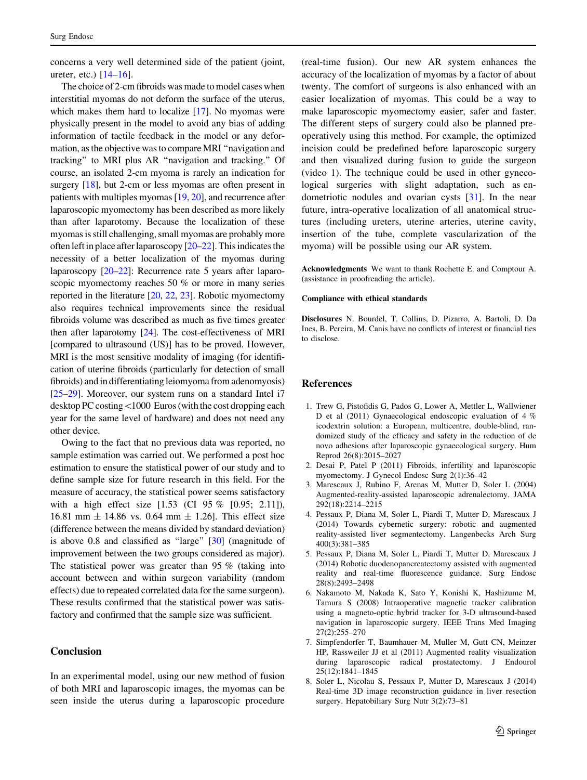<span id="page-4-0"></span>concerns a very well determined side of the patient (joint, ureter, etc.) [\[14–16](#page-5-0)].

The choice of 2-cm fibroids was made to model cases when interstitial myomas do not deform the surface of the uterus, which makes them hard to localize [\[17\]](#page-5-0). No myomas were physically present in the model to avoid any bias of adding information of tactile feedback in the model or any deformation, as the objective was to compare MRI ''navigation and tracking'' to MRI plus AR ''navigation and tracking.'' Of course, an isolated 2-cm myoma is rarely an indication for surgery [[18\]](#page-5-0), but 2-cm or less myomas are often present in patients with multiples myomas [\[19,](#page-5-0) [20\]](#page-5-0), and recurrence after laparoscopic myomectomy has been described as more likely than after laparotomy. Because the localization of these myomas is still challenging, small myomas are probably more often left in place after laparoscopy  $[20-22]$ . This indicates the necessity of a better localization of the myomas during laparoscopy [\[20–22\]](#page-5-0): Recurrence rate 5 years after laparoscopic myomectomy reaches 50 % or more in many series reported in the literature [[20,](#page-5-0) [22,](#page-5-0) [23\]](#page-5-0). Robotic myomectomy also requires technical improvements since the residual fibroids volume was described as much as five times greater then after laparotomy [[24\]](#page-5-0). The cost-effectiveness of MRI [compared to ultrasound (US)] has to be proved. However, MRI is the most sensitive modality of imaging (for identification of uterine fibroids (particularly for detection of small fibroids) and in differentiating leiomyoma from adenomyosis) [\[25](#page-5-0)–[29\]](#page-5-0). Moreover, our system runs on a standard Intel i7 desktop PC costing <1000 Euros (with the cost dropping each year for the same level of hardware) and does not need any other device.

Owing to the fact that no previous data was reported, no sample estimation was carried out. We performed a post hoc estimation to ensure the statistical power of our study and to define sample size for future research in this field. For the measure of accuracy, the statistical power seems satisfactory with a high effect size [1.53 (CI 95 % [0.95; 2.11]), 16.81 mm  $\pm$  14.86 vs. 0.64 mm  $\pm$  1.26]. This effect size (difference between the means divided by standard deviation) is above 0.8 and classified as "large" [[30\]](#page-5-0) (magnitude of improvement between the two groups considered as major). The statistical power was greater than 95 % (taking into account between and within surgeon variability (random effects) due to repeated correlated data for the same surgeon). These results confirmed that the statistical power was satisfactory and confirmed that the sample size was sufficient.

# **Conclusion**

In an experimental model, using our new method of fusion of both MRI and laparoscopic images, the myomas can be seen inside the uterus during a laparoscopic procedure

(real-time fusion). Our new AR system enhances the accuracy of the localization of myomas by a factor of about twenty. The comfort of surgeons is also enhanced with an easier localization of myomas. This could be a way to make laparoscopic myomectomy easier, safer and faster. The different steps of surgery could also be planned preoperatively using this method. For example, the optimized incision could be predefined before laparoscopic surgery and then visualized during fusion to guide the surgeon (video 1). The technique could be used in other gynecological surgeries with slight adaptation, such as endometriotic nodules and ovarian cysts [[31\]](#page-5-0). In the near future, intra-operative localization of all anatomical structures (including ureters, uterine arteries, uterine cavity, insertion of the tube, complete vascularization of the myoma) will be possible using our AR system.

Acknowledgments We want to thank Rochette E. and Comptour A. (assistance in proofreading the article).

#### Compliance with ethical standards

Disclosures N. Bourdel, T. Collins, D. Pizarro, A. Bartoli, D. Da Ines, B. Pereira, M. Canis have no conflicts of interest or financial ties to disclose.

#### References

- 1. Trew G, Pistofidis G, Pados G, Lower A, Mettler L, Wallwiener D et al (2011) Gynaecological endoscopic evaluation of 4 % icodextrin solution: a European, multicentre, double-blind, randomized study of the efficacy and safety in the reduction of de novo adhesions after laparoscopic gynaecological surgery. Hum Reprod 26(8):2015–2027
- 2. Desai P, Patel P (2011) Fibroids, infertility and laparoscopic myomectomy. J Gynecol Endosc Surg 2(1):36–42
- 3. Marescaux J, Rubino F, Arenas M, Mutter D, Soler L (2004) Augmented-reality-assisted laparoscopic adrenalectomy. JAMA 292(18):2214–2215
- 4. Pessaux P, Diana M, Soler L, Piardi T, Mutter D, Marescaux J (2014) Towards cybernetic surgery: robotic and augmented reality-assisted liver segmentectomy. Langenbecks Arch Surg 400(3):381–385
- 5. Pessaux P, Diana M, Soler L, Piardi T, Mutter D, Marescaux J (2014) Robotic duodenopancreatectomy assisted with augmented reality and real-time fluorescence guidance. Surg Endosc 28(8):2493–2498
- 6. Nakamoto M, Nakada K, Sato Y, Konishi K, Hashizume M, Tamura S (2008) Intraoperative magnetic tracker calibration using a magneto-optic hybrid tracker for 3-D ultrasound-based navigation in laparoscopic surgery. IEEE Trans Med Imaging 27(2):255–270
- 7. Simpfendorfer T, Baumhauer M, Muller M, Gutt CN, Meinzer HP, Rassweiler JJ et al (2011) Augmented reality visualization during laparoscopic radical prostatectomy. J Endourol 25(12):1841–1845
- 8. Soler L, Nicolau S, Pessaux P, Mutter D, Marescaux J (2014) Real-time 3D image reconstruction guidance in liver resection surgery. Hepatobiliary Surg Nutr 3(2):73–81